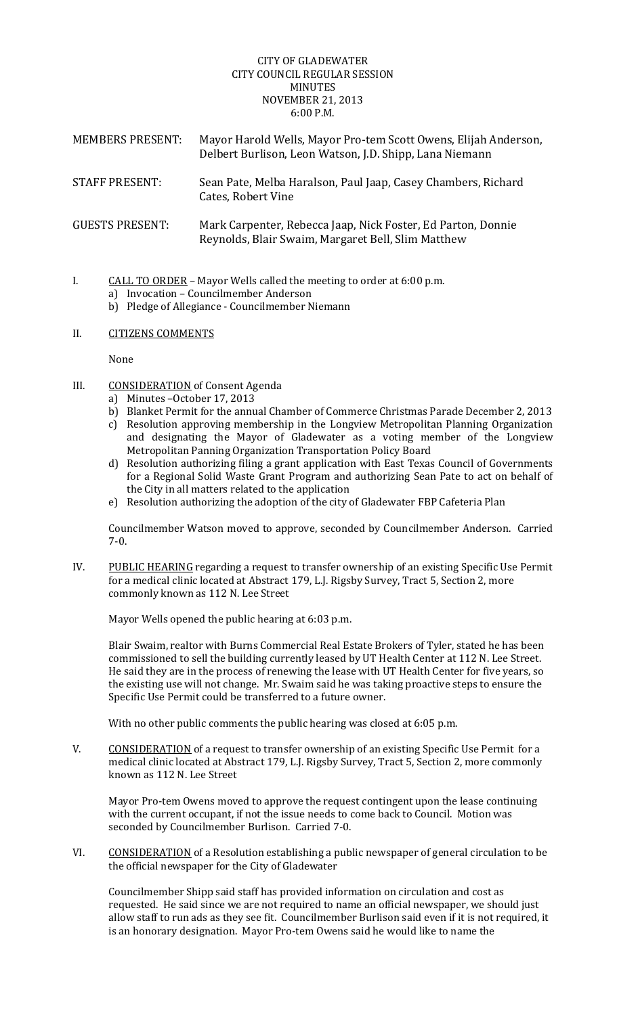## CITY OF GLADEWATER CITY COUNCIL REGULAR SESSION MINUTES **NOVEMBER 21, 2013** 6:00 P.M.

| <b>MEMBERS PRESENT:</b> | Mayor Harold Wells, Mayor Pro-tem Scott Owens, Elijah Anderson,<br>Delbert Burlison, Leon Watson, J.D. Shipp, Lana Niemann |
|-------------------------|----------------------------------------------------------------------------------------------------------------------------|
| <b>STAFF PRESENT:</b>   | Sean Pate, Melba Haralson, Paul Jaap, Casey Chambers, Richard<br>Cates, Robert Vine                                        |
| <b>GUESTS PRESENT:</b>  | Mark Carpenter, Rebecca Jaap, Nick Foster, Ed Parton, Donnie<br>Reynolds, Blair Swaim, Margaret Bell, Slim Matthew         |

- I.  $CALL TO ORDER Mayor Wells called the meeting to order at  $6:00 \text{ p.m.}$$ 
	- a) Invocation Councilmember Anderson
	- b) Pledge of Allegiance Councilmember Niemann

## II. CITIZENS COMMENTS

None 

- III. CONSIDERATION of Consent Agenda
	- a) Minutes October 17, 2013
	- b) Blanket Permit for the annual Chamber of Commerce Christmas Parade December 2, 2013
	- c) Resolution approving membership in the Longview Metropolitan Planning Organization and designating the Mayor of Gladewater as a voting member of the Longview Metropolitan Panning Organization Transportation Policy Board
	- d) Resolution authorizing filing a grant application with East Texas Council of Governments for a Regional Solid Waste Grant Program and authorizing Sean Pate to act on behalf of the City in all matters related to the application
	- e) Resolution authorizing the adoption of the city of Gladewater FBP Cafeteria Plan

Councilmember Watson moved to approve, seconded by Councilmember Anderson. Carried 7‐0. 

IV. PUBLIC HEARING regarding a request to transfer ownership of an existing Specific Use Permit for a medical clinic located at Abstract 179, L.J. Rigsby Survey, Tract 5, Section 2, more commonly known as 112 N. Lee Street

Mayor Wells opened the public hearing at 6:03 p.m.

Blair Swaim, realtor with Burns Commercial Real Estate Brokers of Tyler, stated he has been commissioned to sell the building currently leased by UT Health Center at 112 N. Lee Street. He said they are in the process of renewing the lease with UT Health Center for five years, so the existing use will not change. Mr. Swaim said he was taking proactive steps to ensure the Specific Use Permit could be transferred to a future owner.

With no other public comments the public hearing was closed at 6:05 p.m.

V. CONSIDERATION of a request to transfer ownership of an existing Specific Use Permit for a medical clinic located at Abstract 179, L.J. Rigsby Survey, Tract 5, Section 2, more commonly known as 112 N. Lee Street

Mayor Pro-tem Owens moved to approve the request contingent upon the lease continuing with the current occupant, if not the issue needs to come back to Council. Motion was seconded by Councilmember Burlison. Carried 7-0.

VI. CONSIDERATION of a Resolution establishing a public newspaper of general circulation to be the official newspaper for the City of Gladewater

Councilmember Shipp said staff has provided information on circulation and cost as requested. He said since we are not required to name an official newspaper, we should just allow staff to run ads as they see fit. Councilmember Burlison said even if it is not required, it is an honorary designation. Mayor Pro-tem Owens said he would like to name the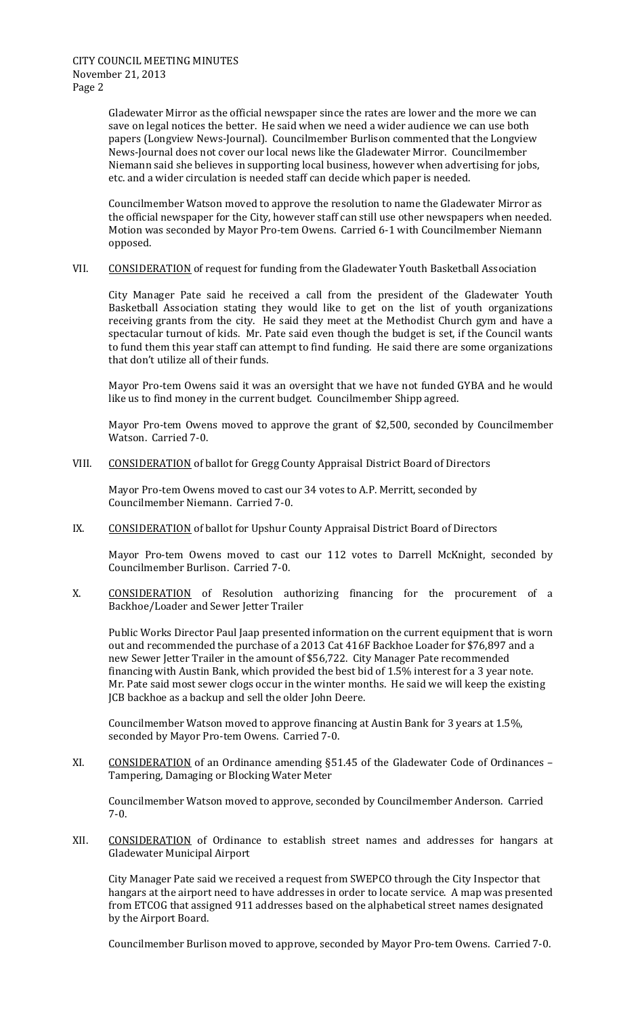Gladewater Mirror as the official newspaper since the rates are lower and the more we can save on legal notices the better. He said when we need a wider audience we can use both papers (Longview News-Journal). Councilmember Burlison commented that the Longview News-Journal does not cover our local news like the Gladewater Mirror. Councilmember Niemann said she believes in supporting local business, however when advertising for jobs, etc. and a wider circulation is needed staff can decide which paper is needed.

Councilmember Watson moved to approve the resolution to name the Gladewater Mirror as the official newspaper for the City, however staff can still use other newspapers when needed. Motion was seconded by Mayor Pro-tem Owens. Carried 6-1 with Councilmember Niemann opposed. 

VII. CONSIDERATION of request for funding from the Gladewater Youth Basketball Association

City Manager Pate said he received a call from the president of the Gladewater Youth Basketball Association stating they would like to get on the list of youth organizations receiving grants from the city. He said they meet at the Methodist Church gym and have a spectacular turnout of kids. Mr. Pate said even though the budget is set, if the Council wants to fund them this year staff can attempt to find funding. He said there are some organizations that don't utilize all of their funds.

Mayor Pro-tem Owens said it was an oversight that we have not funded GYBA and he would like us to find money in the current budget. Councilmember Shipp agreed.

Mayor Pro-tem Owens moved to approve the grant of \$2,500, seconded by Councilmember Watson. Carried 7-0.

VIII. CONSIDERATION of ballot for Gregg County Appraisal District Board of Directors

Mayor Pro-tem Owens moved to cast our 34 votes to A.P. Merritt, seconded by Councilmember Niemann. Carried 7-0.

IX. CONSIDERATION of ballot for Upshur County Appraisal District Board of Directors

Mayor Pro-tem Owens moved to cast our 112 votes to Darrell McKnight, seconded by Councilmember Burlison. Carried 7-0.

X. CONSIDERATION of Resolution authorizing financing for the procurement of a Backhoe/Loader and Sewer Jetter Trailer

Public Works Director Paul Jaap presented information on the current equipment that is worn out and recommended the purchase of a 2013 Cat 416F Backhoe Loader for \$76,897 and a new Sewer Jetter Trailer in the amount of \$56,722. City Manager Pate recommended financing with Austin Bank, which provided the best bid of 1.5% interest for a 3 year note. Mr. Pate said most sewer clogs occur in the winter months. He said we will keep the existing JCB backhoe as a backup and sell the older John Deere.

Councilmember Watson moved to approve financing at Austin Bank for 3 years at 1.5%, seconded by Mayor Pro-tem Owens. Carried 7-0.

XI. CONSIDERATION of an Ordinance amending §51.45 of the Gladewater Code of Ordinances – Tampering, Damaging or Blocking Water Meter

Councilmember Watson moved to approve, seconded by Councilmember Anderson. Carried 7‐0. 

XII. CONSIDERATION of Ordinance to establish street names and addresses for hangars at Gladewater Municipal Airport

City Manager Pate said we received a request from SWEPCO through the City Inspector that hangars at the airport need to have addresses in order to locate service. A map was presented from ETCOG that assigned 911 addresses based on the alphabetical street names designated by the Airport Board.

Councilmember Burlison moved to approve, seconded by Mayor Pro-tem Owens. Carried 7-0.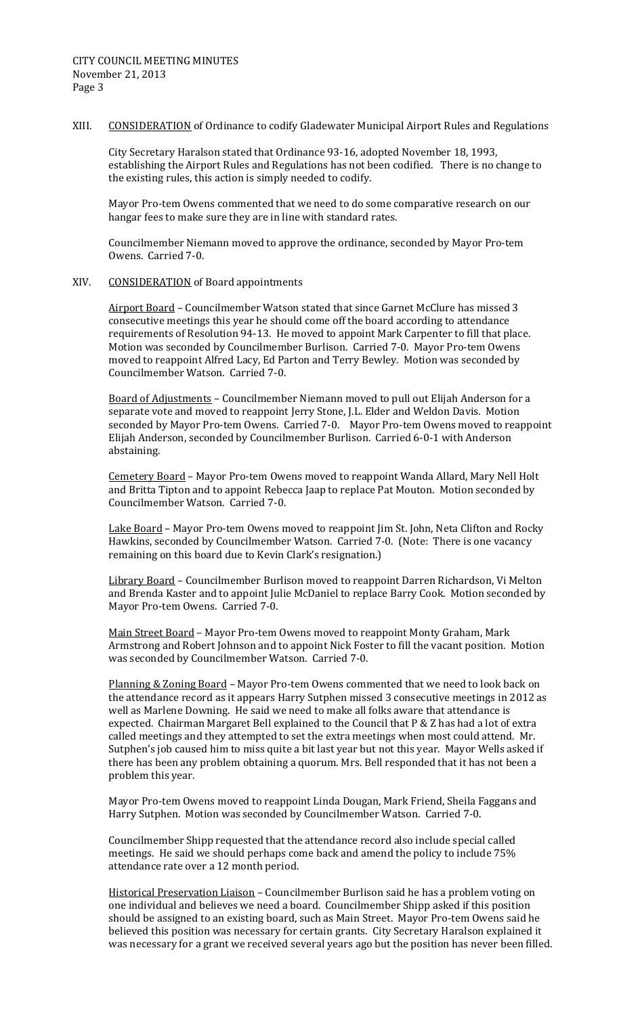XIII. CONSIDERATION of Ordinance to codify Gladewater Municipal Airport Rules and Regulations

City Secretary Haralson stated that Ordinance 93-16, adopted November 18, 1993, establishing the Airport Rules and Regulations has not been codified. There is no change to the existing rules, this action is simply needed to codify.

Mayor Pro-tem Owens commented that we need to do some comparative research on our hangar fees to make sure they are in line with standard rates.

Councilmember Niemann moved to approve the ordinance, seconded by Mayor Pro-tem Owens. Carried 7-0.

XIV. CONSIDERATION of Board appointments

Airport Board - Councilmember Watson stated that since Garnet McClure has missed 3 consecutive meetings this year he should come off the board according to attendance requirements of Resolution 94-13. He moved to appoint Mark Carpenter to fill that place. Motion was seconded by Councilmember Burlison. Carried 7-0. Mayor Pro-tem Owens moved to reappoint Alfred Lacy, Ed Parton and Terry Bewley. Motion was seconded by Councilmember Watson. Carried 7-0.

Board of Adjustments - Councilmember Niemann moved to pull out Elijah Anderson for a separate vote and moved to reappoint Jerry Stone, J.L. Elder and Weldon Davis. Motion seconded by Mayor Pro-tem Owens. Carried 7-0. Mayor Pro-tem Owens moved to reappoint Elijah Anderson, seconded by Councilmember Burlison. Carried 6-0-1 with Anderson abstaining. 

Cemetery Board - Mayor Pro-tem Owens moved to reappoint Wanda Allard, Mary Nell Holt and Britta Tipton and to appoint Rebecca Jaap to replace Pat Mouton. Motion seconded by Councilmember Watson. Carried 7-0.

Lake Board – Mayor Pro-tem Owens moved to reappoint Jim St. John, Neta Clifton and Rocky Hawkins, seconded by Councilmember Watson. Carried 7-0. (Note: There is one vacancy remaining on this board due to Kevin Clark's resignation.)

Library Board - Councilmember Burlison moved to reappoint Darren Richardson, Vi Melton and Brenda Kaster and to appoint Julie McDaniel to replace Barry Cook. Motion seconded by Mayor Pro-tem Owens. Carried 7-0.

Main Street Board – Mayor Pro-tem Owens moved to reappoint Monty Graham, Mark Armstrong and Robert Johnson and to appoint Nick Foster to fill the vacant position. Motion was seconded by Councilmember Watson. Carried 7-0.

Planning & Zoning Board - Mayor Pro-tem Owens commented that we need to look back on the attendance record as it appears Harry Sutphen missed 3 consecutive meetings in 2012 as well as Marlene Downing. He said we need to make all folks aware that attendance is expected. Chairman Margaret Bell explained to the Council that  $P \& Z$  has had a lot of extra called meetings and they attempted to set the extra meetings when most could attend. Mr. Sutphen's job caused him to miss quite a bit last year but not this year. Mayor Wells asked if there has been any problem obtaining a quorum. Mrs. Bell responded that it has not been a problem this year.

Mayor Pro-tem Owens moved to reappoint Linda Dougan, Mark Friend, Sheila Faggans and Harry Sutphen. Motion was seconded by Councilmember Watson. Carried 7-0.

Councilmember Shipp requested that the attendance record also include special called meetings. He said we should perhaps come back and amend the policy to include 75% attendance rate over a 12 month period.

Historical Preservation Liaison – Councilmember Burlison said he has a problem voting on one individual and believes we need a board. Councilmember Shipp asked if this position should be assigned to an existing board, such as Main Street. Mayor Pro-tem Owens said he believed this position was necessary for certain grants. City Secretary Haralson explained it was necessary for a grant we received several years ago but the position has never been filled.